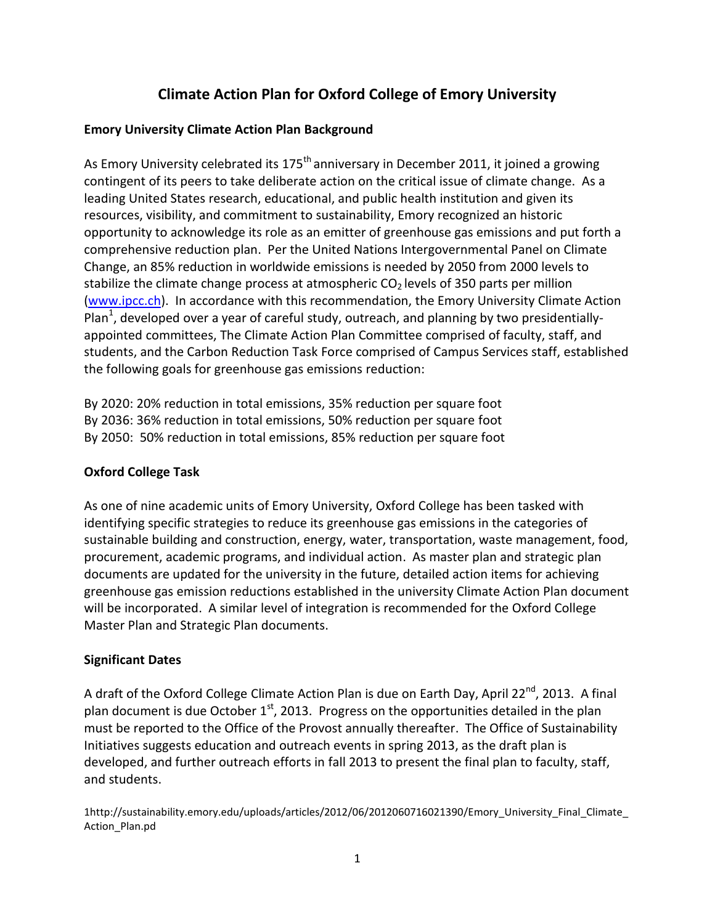# **Climate Action Plan for Oxford College of Emory University**

### **Emory University Climate Action Plan Background**

As Emory University celebrated its 175<sup>th</sup> anniversary in December 2011, it joined a growing contingent of its peers to take deliberate action on the critical issue of climate change. As a leading United States research, educational, and public health institution and given its resources, visibility, and commitment to sustainability, Emory recognized an historic opportunity to acknowledge its role as an emitter of greenhouse gas emissions and put forth a comprehensive reduction plan. Per the United Nations Intergovernmental Panel on Climate Change, an 85% reduction in worldwide emissions is needed by 2050 from 2000 levels to stabilize the climate change process at atmospheric  $CO<sub>2</sub>$  levels of 350 parts per million [\(www.ipcc.ch\)](http://www.ipcc.ch/). In accordance with this recommendation, the Emory University Climate Action Plan<sup>1</sup>, developed over a year of careful study, outreach, and planning by two presidentiallyappointed committees, The Climate Action Plan Committee comprised of faculty, staff, and students, and the Carbon Reduction Task Force comprised of Campus Services staff, established the following goals for greenhouse gas emissions reduction:

By 2020: 20% reduction in total emissions, 35% reduction per square foot By 2036: 36% reduction in total emissions, 50% reduction per square foot By 2050: 50% reduction in total emissions, 85% reduction per square foot

#### **Oxford College Task**

As one of nine academic units of Emory University, Oxford College has been tasked with identifying specific strategies to reduce its greenhouse gas emissions in the categories of sustainable building and construction, energy, water, transportation, waste management, food, procurement, academic programs, and individual action. As master plan and strategic plan documents are updated for the university in the future, detailed action items for achieving greenhouse gas emission reductions established in the university Climate Action Plan document will be incorporated. A similar level of integration is recommended for the Oxford College Master Plan and Strategic Plan documents.

#### **Significant Dates**

A draft of the Oxford College Climate Action Plan is due on Earth Day, April 22<sup>nd</sup>, 2013. A final plan document is due October  $1<sup>st</sup>$ , 2013. Progress on the opportunities detailed in the plan must be reported to the Office of the Provost annually thereafter. The Office of Sustainability Initiatives suggests education and outreach events in spring 2013, as the draft plan is developed, and further outreach efforts in fall 2013 to present the final plan to faculty, staff, and students.

1http://sustainability.emory.edu/uploads/articles/2012/06/2012060716021390/Emory\_University\_Final\_Climate\_ Action\_Plan.pd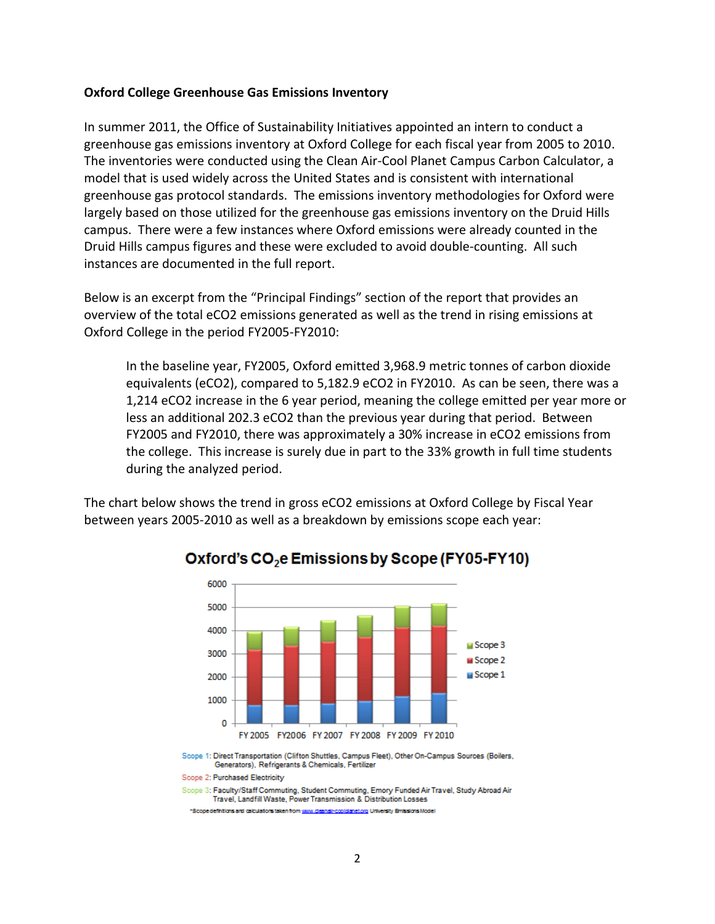#### **Oxford College Greenhouse Gas Emissions Inventory**

In summer 2011, the Office of Sustainability Initiatives appointed an intern to conduct a greenhouse gas emissions inventory at Oxford College for each fiscal year from 2005 to 2010. The inventories were conducted using the Clean Air-Cool Planet Campus Carbon Calculator, a model that is used widely across the United States and is consistent with international greenhouse gas protocol standards. The emissions inventory methodologies for Oxford were largely based on those utilized for the greenhouse gas emissions inventory on the Druid Hills campus. There were a few instances where Oxford emissions were already counted in the Druid Hills campus figures and these were excluded to avoid double-counting. All such instances are documented in the full report.

Below is an excerpt from the "Principal Findings" section of the report that provides an overview of the total eCO2 emissions generated as well as the trend in rising emissions at Oxford College in the period FY2005-FY2010:

In the baseline year, FY2005, Oxford emitted 3,968.9 metric tonnes of carbon dioxide equivalents (eCO2), compared to 5,182.9 eCO2 in FY2010. As can be seen, there was a 1,214 eCO2 increase in the 6 year period, meaning the college emitted per year more or less an additional 202.3 eCO2 than the previous year during that period. Between FY2005 and FY2010, there was approximately a 30% increase in eCO2 emissions from the college. This increase is surely due in part to the 33% growth in full time students during the analyzed period.

The chart below shows the trend in gross eCO2 emissions at Oxford College by Fiscal Year between years 2005-2010 as well as a breakdown by emissions scope each year:



## Oxford's CO<sub>2</sub>e Emissions by Scope (FY05-FY10)

Scope 2: Purchased Electricity

Scope 3: Faculty/Staff Commuting, Student Commuting, Emory Funded Air Travel, Study Abroad Air Travel, Landfill Waste, Power Transmission & Distribution Losses

\*Scope definitions and calculations taken from www.c **Ianetoro University Emissions Model** 

Scope 1: Direct Transportation (Clifton Shuttles, Campus Fleet), Other On-Campus Sources (Boilers, Generators), Refrigerants & Chemicals, Fertilizer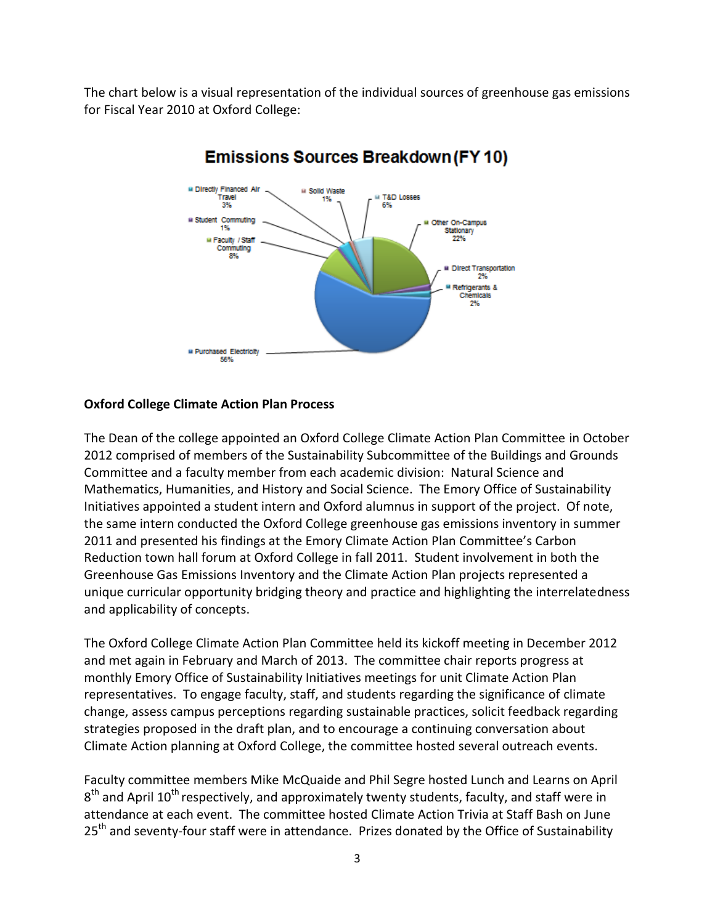The chart below is a visual representation of the individual sources of greenhouse gas emissions for Fiscal Year 2010 at Oxford College:



# **Emissions Sources Breakdown (FY10)**

#### **Oxford College Climate Action Plan Process**

The Dean of the college appointed an Oxford College Climate Action Plan Committee in October 2012 comprised of members of the Sustainability Subcommittee of the Buildings and Grounds Committee and a faculty member from each academic division: Natural Science and Mathematics, Humanities, and History and Social Science. The Emory Office of Sustainability Initiatives appointed a student intern and Oxford alumnus in support of the project. Of note, the same intern conducted the Oxford College greenhouse gas emissions inventory in summer 2011 and presented his findings at the Emory Climate Action Plan Committee's Carbon Reduction town hall forum at Oxford College in fall 2011. Student involvement in both the Greenhouse Gas Emissions Inventory and the Climate Action Plan projects represented a unique curricular opportunity bridging theory and practice and highlighting the interrelatedness and applicability of concepts.

The Oxford College Climate Action Plan Committee held its kickoff meeting in December 2012 and met again in February and March of 2013. The committee chair reports progress at monthly Emory Office of Sustainability Initiatives meetings for unit Climate Action Plan representatives. To engage faculty, staff, and students regarding the significance of climate change, assess campus perceptions regarding sustainable practices, solicit feedback regarding strategies proposed in the draft plan, and to encourage a continuing conversation about Climate Action planning at Oxford College, the committee hosted several outreach events.

Faculty committee members Mike McQuaide and Phil Segre hosted Lunch and Learns on April  $8^{\text{th}}$  and April 10<sup>th</sup> respectively, and approximately twenty students, faculty, and staff were in attendance at each event. The committee hosted Climate Action Trivia at Staff Bash on June 25<sup>th</sup> and seventy-four staff were in attendance. Prizes donated by the Office of Sustainability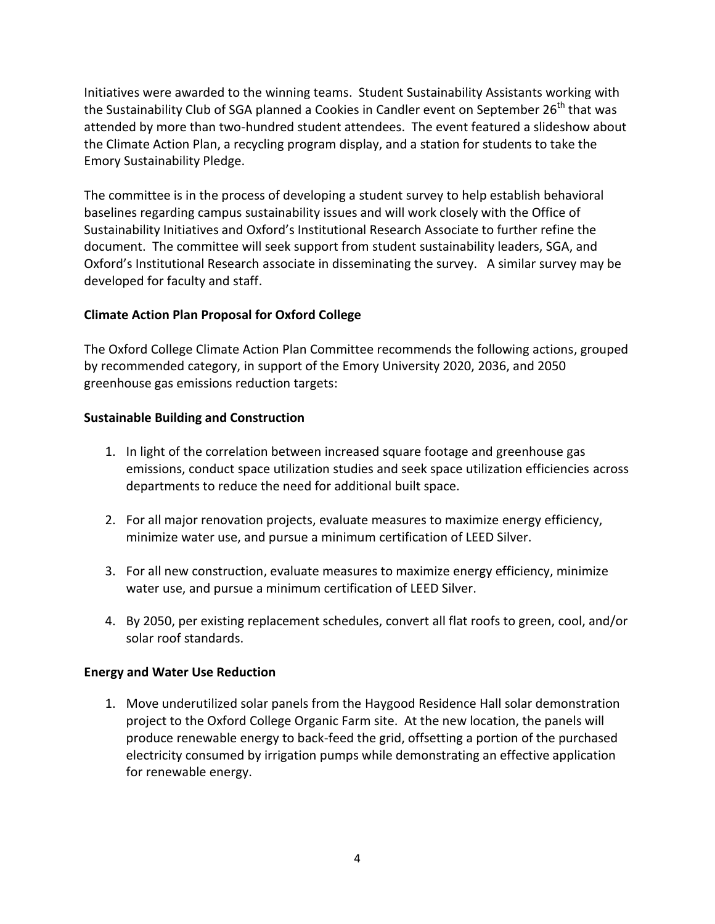Initiatives were awarded to the winning teams. Student Sustainability Assistants working with the Sustainability Club of SGA planned a Cookies in Candler event on September  $26<sup>th</sup>$  that was attended by more than two-hundred student attendees. The event featured a slideshow about the Climate Action Plan, a recycling program display, and a station for students to take the Emory Sustainability Pledge.

The committee is in the process of developing a student survey to help establish behavioral baselines regarding campus sustainability issues and will work closely with the Office of Sustainability Initiatives and Oxford's Institutional Research Associate to further refine the document. The committee will seek support from student sustainability leaders, SGA, and Oxford's Institutional Research associate in disseminating the survey. A similar survey may be developed for faculty and staff.

### **Climate Action Plan Proposal for Oxford College**

The Oxford College Climate Action Plan Committee recommends the following actions, grouped by recommended category, in support of the Emory University 2020, 2036, and 2050 greenhouse gas emissions reduction targets:

### **Sustainable Building and Construction**

- 1. In light of the correlation between increased square footage and greenhouse gas emissions, conduct space utilization studies and seek space utilization efficiencies across departments to reduce the need for additional built space.
- 2. For all major renovation projects, evaluate measures to maximize energy efficiency, minimize water use, and pursue a minimum certification of LEED Silver.
- 3. For all new construction, evaluate measures to maximize energy efficiency, minimize water use, and pursue a minimum certification of LEED Silver.
- 4. By 2050, per existing replacement schedules, convert all flat roofs to green, cool, and/or solar roof standards.

#### **Energy and Water Use Reduction**

1. Move underutilized solar panels from the Haygood Residence Hall solar demonstration project to the Oxford College Organic Farm site. At the new location, the panels will produce renewable energy to back-feed the grid, offsetting a portion of the purchased electricity consumed by irrigation pumps while demonstrating an effective application for renewable energy.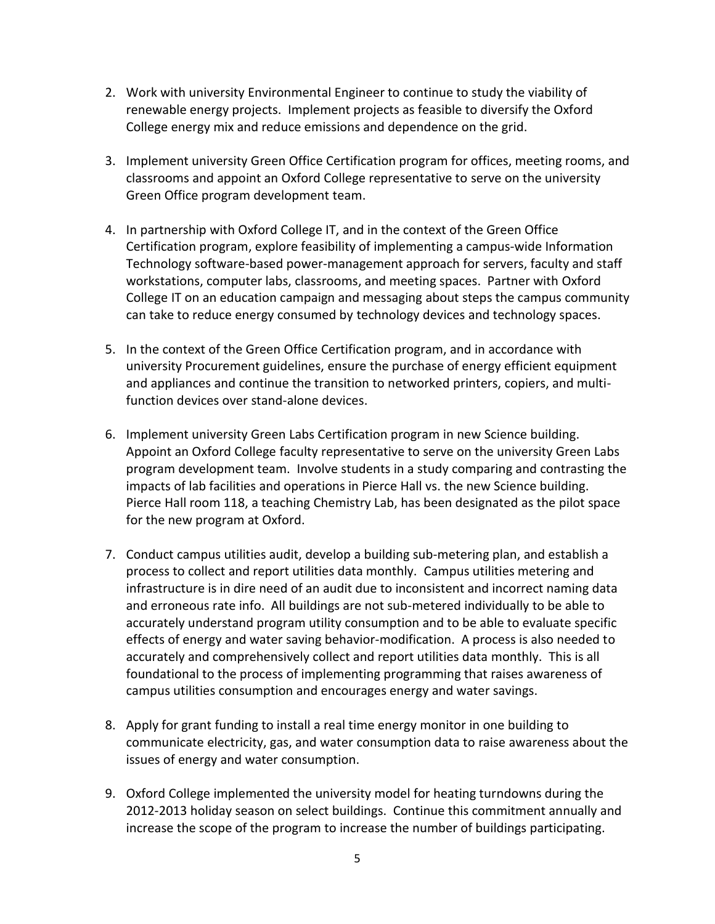- 2. Work with university Environmental Engineer to continue to study the viability of renewable energy projects. Implement projects as feasible to diversify the Oxford College energy mix and reduce emissions and dependence on the grid.
- 3. Implement university Green Office Certification program for offices, meeting rooms, and classrooms and appoint an Oxford College representative to serve on the university Green Office program development team.
- 4. In partnership with Oxford College IT, and in the context of the Green Office Certification program, explore feasibility of implementing a campus-wide Information Technology software-based power-management approach for servers, faculty and staff workstations, computer labs, classrooms, and meeting spaces. Partner with Oxford College IT on an education campaign and messaging about steps the campus community can take to reduce energy consumed by technology devices and technology spaces.
- 5. In the context of the Green Office Certification program, and in accordance with university Procurement guidelines, ensure the purchase of energy efficient equipment and appliances and continue the transition to networked printers, copiers, and multifunction devices over stand-alone devices.
- 6. Implement university Green Labs Certification program in new Science building. Appoint an Oxford College faculty representative to serve on the university Green Labs program development team. Involve students in a study comparing and contrasting the impacts of lab facilities and operations in Pierce Hall vs. the new Science building. Pierce Hall room 118, a teaching Chemistry Lab, has been designated as the pilot space for the new program at Oxford.
- 7. Conduct campus utilities audit, develop a building sub-metering plan, and establish a process to collect and report utilities data monthly. Campus utilities metering and infrastructure is in dire need of an audit due to inconsistent and incorrect naming data and erroneous rate info. All buildings are not sub-metered individually to be able to accurately understand program utility consumption and to be able to evaluate specific effects of energy and water saving behavior-modification. A process is also needed to accurately and comprehensively collect and report utilities data monthly. This is all foundational to the process of implementing programming that raises awareness of campus utilities consumption and encourages energy and water savings.
- 8. Apply for grant funding to install a real time energy monitor in one building to communicate electricity, gas, and water consumption data to raise awareness about the issues of energy and water consumption.
- 9. Oxford College implemented the university model for heating turndowns during the 2012-2013 holiday season on select buildings. Continue this commitment annually and increase the scope of the program to increase the number of buildings participating.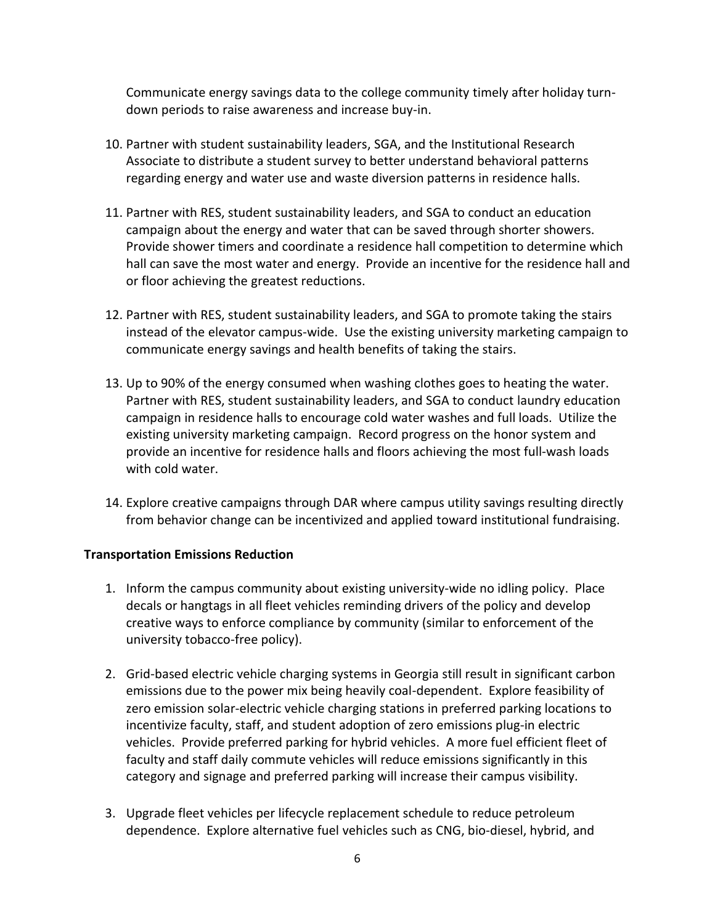Communicate energy savings data to the college community timely after holiday turndown periods to raise awareness and increase buy-in.

- 10. Partner with student sustainability leaders, SGA, and the Institutional Research Associate to distribute a student survey to better understand behavioral patterns regarding energy and water use and waste diversion patterns in residence halls.
- 11. Partner with RES, student sustainability leaders, and SGA to conduct an education campaign about the energy and water that can be saved through shorter showers. Provide shower timers and coordinate a residence hall competition to determine which hall can save the most water and energy. Provide an incentive for the residence hall and or floor achieving the greatest reductions.
- 12. Partner with RES, student sustainability leaders, and SGA to promote taking the stairs instead of the elevator campus-wide. Use the existing university marketing campaign to communicate energy savings and health benefits of taking the stairs.
- 13. Up to 90% of the energy consumed when washing clothes goes to heating the water. Partner with RES, student sustainability leaders, and SGA to conduct laundry education campaign in residence halls to encourage cold water washes and full loads. Utilize the existing university marketing campaign. Record progress on the honor system and provide an incentive for residence halls and floors achieving the most full-wash loads with cold water.
- 14. Explore creative campaigns through DAR where campus utility savings resulting directly from behavior change can be incentivized and applied toward institutional fundraising.

#### **Transportation Emissions Reduction**

- 1. Inform the campus community about existing university-wide no idling policy. Place decals or hangtags in all fleet vehicles reminding drivers of the policy and develop creative ways to enforce compliance by community (similar to enforcement of the university tobacco-free policy).
- 2. Grid-based electric vehicle charging systems in Georgia still result in significant carbon emissions due to the power mix being heavily coal-dependent. Explore feasibility of zero emission solar-electric vehicle charging stations in preferred parking locations to incentivize faculty, staff, and student adoption of zero emissions plug-in electric vehicles. Provide preferred parking for hybrid vehicles. A more fuel efficient fleet of faculty and staff daily commute vehicles will reduce emissions significantly in this category and signage and preferred parking will increase their campus visibility.
- 3. Upgrade fleet vehicles per lifecycle replacement schedule to reduce petroleum dependence. Explore alternative fuel vehicles such as CNG, bio-diesel, hybrid, and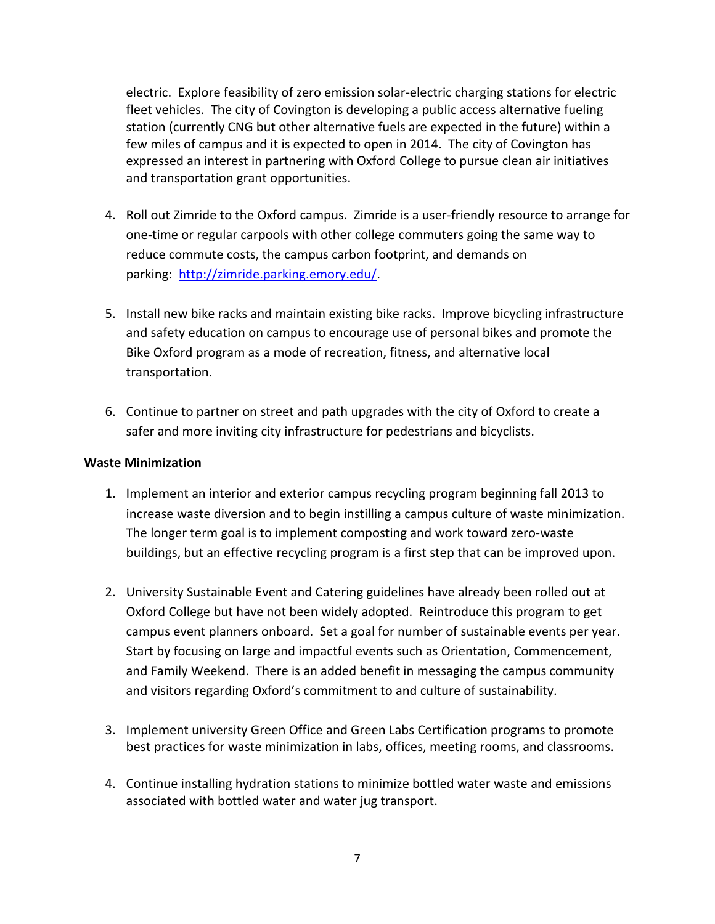electric. Explore feasibility of zero emission solar-electric charging stations for electric fleet vehicles. The city of Covington is developing a public access alternative fueling station (currently CNG but other alternative fuels are expected in the future) within a few miles of campus and it is expected to open in 2014. The city of Covington has expressed an interest in partnering with Oxford College to pursue clean air initiatives and transportation grant opportunities.

- 4. Roll out Zimride to the Oxford campus. Zimride is a user-friendly resource to arrange for one-time or regular carpools with other college commuters going the same way to reduce commute costs, the campus carbon footprint, and demands on parking: [http://zimride.parking.emory.edu/.](http://zimride.parking.emory.edu/)
- 5. Install new bike racks and maintain existing bike racks. Improve bicycling infrastructure and safety education on campus to encourage use of personal bikes and promote the Bike Oxford program as a mode of recreation, fitness, and alternative local transportation.
- 6. Continue to partner on street and path upgrades with the city of Oxford to create a safer and more inviting city infrastructure for pedestrians and bicyclists.

#### **Waste Minimization**

- 1. Implement an interior and exterior campus recycling program beginning fall 2013 to increase waste diversion and to begin instilling a campus culture of waste minimization. The longer term goal is to implement composting and work toward zero-waste buildings, but an effective recycling program is a first step that can be improved upon.
- 2. University Sustainable Event and Catering guidelines have already been rolled out at Oxford College but have not been widely adopted. Reintroduce this program to get campus event planners onboard. Set a goal for number of sustainable events per year. Start by focusing on large and impactful events such as Orientation, Commencement, and Family Weekend. There is an added benefit in messaging the campus community and visitors regarding Oxford's commitment to and culture of sustainability.
- 3. Implement university Green Office and Green Labs Certification programs to promote best practices for waste minimization in labs, offices, meeting rooms, and classrooms.
- 4. Continue installing hydration stations to minimize bottled water waste and emissions associated with bottled water and water jug transport.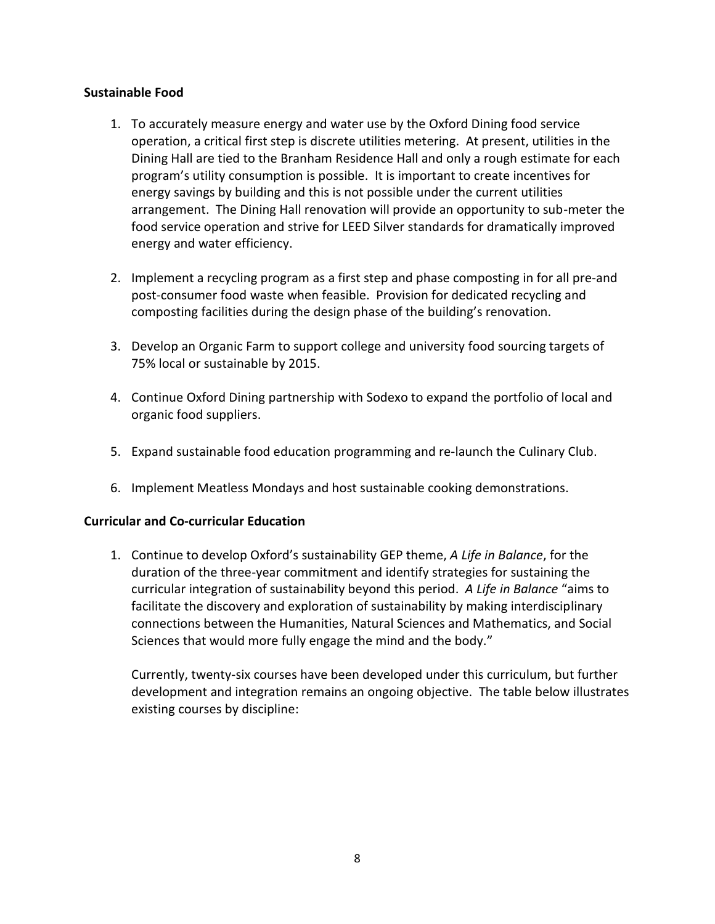#### **Sustainable Food**

- 1. To accurately measure energy and water use by the Oxford Dining food service operation, a critical first step is discrete utilities metering. At present, utilities in the Dining Hall are tied to the Branham Residence Hall and only a rough estimate for each program's utility consumption is possible. It is important to create incentives for energy savings by building and this is not possible under the current utilities arrangement. The Dining Hall renovation will provide an opportunity to sub-meter the food service operation and strive for LEED Silver standards for dramatically improved energy and water efficiency.
- 2. Implement a recycling program as a first step and phase composting in for all pre-and post-consumer food waste when feasible. Provision for dedicated recycling and composting facilities during the design phase of the building's renovation.
- 3. Develop an Organic Farm to support college and university food sourcing targets of 75% local or sustainable by 2015.
- 4. Continue Oxford Dining partnership with Sodexo to expand the portfolio of local and organic food suppliers.
- 5. Expand sustainable food education programming and re-launch the Culinary Club.
- 6. Implement Meatless Mondays and host sustainable cooking demonstrations.

## **Curricular and Co-curricular Education**

1. Continue to develop Oxford's sustainability GEP theme, *A Life in Balance*, for the duration of the three-year commitment and identify strategies for sustaining the curricular integration of sustainability beyond this period. *A Life in Balance* "aims to facilitate the discovery and exploration of sustainability by making interdisciplinary connections between the Humanities, Natural Sciences and Mathematics, and Social Sciences that would more fully engage the mind and the body."

Currently, twenty-six courses have been developed under this curriculum, but further development and integration remains an ongoing objective. The table below illustrates existing courses by discipline: